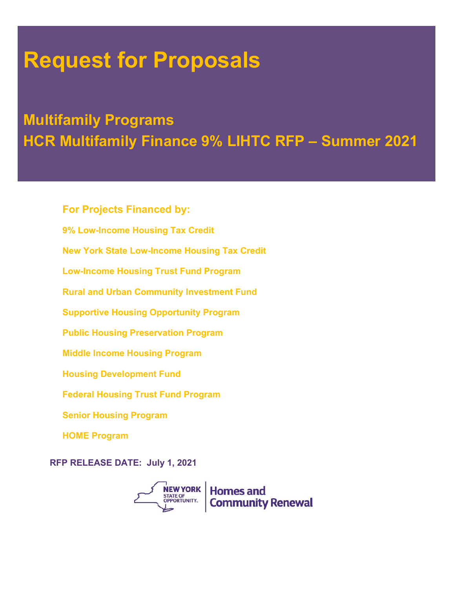# **Request for Proposals**

# **Multifamily Programs HCR Multifamily Finance 9% LIHTC RFP – Summer 2021**

9% Low-Income Housing Tax Credit **For Projects Financed by: New York State Low-Income Housing Tax Credit Low-Income Housing Trust Fund Program Rural and Urban Community Investment Fund Supportive Housing Opportunity Program Public Housing Preservation Program Middle Income Housing Program Housing Development Fund Federal Housing Trust Fund Program Senior Housing Program HOME Program**

**RFP RELEASE DATE: July 1, 2021**

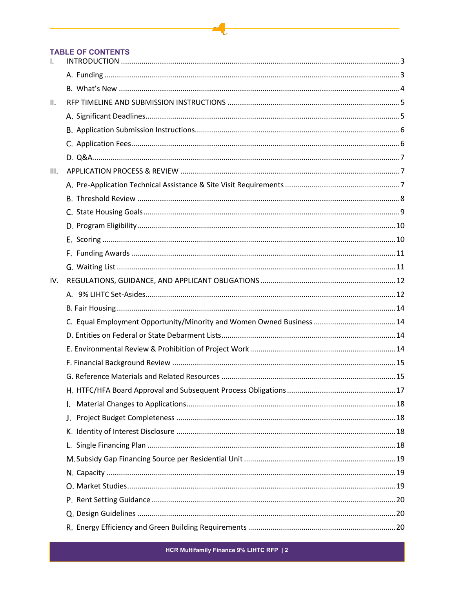#### **TABLE OF CONTENTS**

| $\mathsf{l}$ . |                                                                      |  |
|----------------|----------------------------------------------------------------------|--|
|                |                                                                      |  |
|                |                                                                      |  |
| II.            |                                                                      |  |
|                |                                                                      |  |
|                |                                                                      |  |
|                |                                                                      |  |
|                |                                                                      |  |
| III.           |                                                                      |  |
|                |                                                                      |  |
|                |                                                                      |  |
|                |                                                                      |  |
|                |                                                                      |  |
|                |                                                                      |  |
|                |                                                                      |  |
|                |                                                                      |  |
| IV.            |                                                                      |  |
|                |                                                                      |  |
|                |                                                                      |  |
|                | C. Equal Employment Opportunity/Minority and Women Owned Business 14 |  |
|                |                                                                      |  |
|                |                                                                      |  |
|                |                                                                      |  |
|                |                                                                      |  |
|                |                                                                      |  |
|                |                                                                      |  |
|                |                                                                      |  |
|                |                                                                      |  |
|                |                                                                      |  |
|                |                                                                      |  |
|                |                                                                      |  |
|                |                                                                      |  |
|                |                                                                      |  |
|                |                                                                      |  |
|                |                                                                      |  |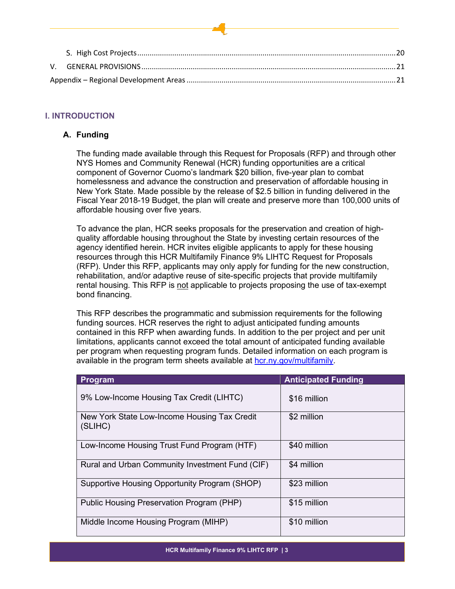# <span id="page-2-0"></span>**I. INTRODUCTION**

# <span id="page-2-1"></span>**A. Funding**

The funding made available through this Request for Proposals (RFP) and through other NYS Homes and Community Renewal (HCR) funding opportunities are a critical component of Governor Cuomo's landmark \$20 billion, five-year plan to combat homelessness and advance the construction and preservation of affordable housing in New York State. Made possible by the release of \$2.5 billion in funding delivered in the Fiscal Year 2018-19 Budget, the plan will create and preserve more than 100,000 units of affordable housing over five years.

To advance the plan, HCR seeks proposals for the preservation and creation of highquality affordable housing throughout the State by investing certain resources of the agency identified herein. HCR invites eligible applicants to apply for these housing resources through this HCR Multifamily Finance 9% LIHTC Request for Proposals (RFP). Under this RFP, applicants may only apply for funding for the new construction, rehabilitation, and/or adaptive reuse of site-specific projects that provide multifamily rental housing. This RFP is not applicable to projects proposing the use of tax-exempt bond financing.

This RFP describes the programmatic and submission requirements for the following funding sources. HCR reserves the right to adjust anticipated funding amounts contained in this RFP when awarding funds. In addition to the per project and per unit limitations, applicants cannot exceed the total amount of anticipated funding available per program when requesting program funds. Detailed information on each program is available in the program term sheets available at [hcr.ny.gov/multifamily.](https://hcr.ny.gov/multifamily)

| Program                                                 | <b>Anticipated Funding</b> |
|---------------------------------------------------------|----------------------------|
| 9% Low-Income Housing Tax Credit (LIHTC)                | \$16 million               |
| New York State Low-Income Housing Tax Credit<br>(SLIHC) | \$2 million                |
| Low-Income Housing Trust Fund Program (HTF)             | \$40 million               |
| Rural and Urban Community Investment Fund (CIF)         | \$4 million                |
| Supportive Housing Opportunity Program (SHOP)           | \$23 million               |
| Public Housing Preservation Program (PHP)               | \$15 million               |
| Middle Income Housing Program (MIHP)                    | \$10 million               |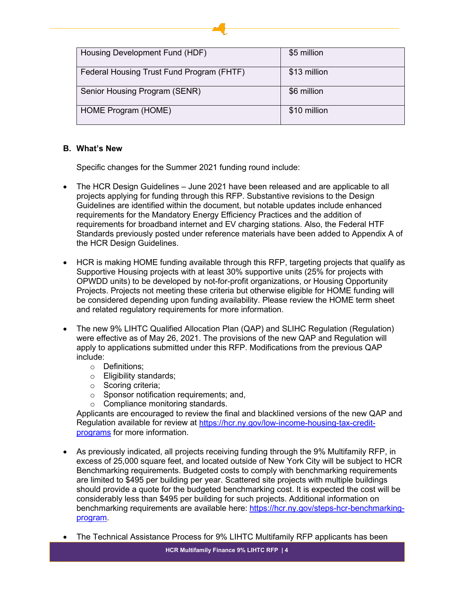| Housing Development Fund (HDF)            | \$5 million  |
|-------------------------------------------|--------------|
| Federal Housing Trust Fund Program (FHTF) | \$13 million |
| Senior Housing Program (SENR)             | \$6 million  |
| HOME Program (HOME)                       | \$10 million |

# <span id="page-3-0"></span>**B. What's New**

Specific changes for the Summer 2021 funding round include:

- The HCR Design Guidelines June 2021 have been released and are applicable to all projects applying for funding through this RFP. Substantive revisions to the Design Guidelines are identified within the document, but notable updates include enhanced requirements for the Mandatory Energy Efficiency Practices and the addition of requirements for broadband internet and EV charging stations. Also, the Federal HTF Standards previously posted under reference materials have been added to Appendix A of the HCR Design Guidelines.
- HCR is making HOME funding available through this RFP, targeting projects that qualify as Supportive Housing projects with at least 30% supportive units (25% for projects with OPWDD units) to be developed by not-for-profit organizations, or Housing Opportunity Projects. Projects not meeting these criteria but otherwise eligible for HOME funding will be considered depending upon funding availability. Please review the HOME term sheet and related regulatory requirements for more information.
- The new 9% LIHTC Qualified Allocation Plan (QAP) and SLIHC Regulation (Regulation) were effective as of May 26, 2021. The provisions of the new QAP and Regulation will apply to applications submitted under this RFP. Modifications from the previous QAP include:
	- o Definitions;
	- o Eligibility standards;
	- o Scoring criteria;
	- o Sponsor notification requirements; and,
	- o Compliance monitoring standards.

Applicants are encouraged to review the final and blacklined versions of the new QAP and Regulation available for review at [https://hcr.ny.gov/low-income-housing-tax-credit](https://hcr.ny.gov/low-income-housing-tax-credit-programs)[programs](https://hcr.ny.gov/low-income-housing-tax-credit-programs) for more information.

- As previously indicated, all projects receiving funding through the 9% Multifamily RFP, in excess of 25,000 square feet, and located outside of New York City will be subject to HCR Benchmarking requirements. Budgeted costs to comply with benchmarking requirements are limited to \$495 per building per year. Scattered site projects with multiple buildings should provide a quote for the budgeted benchmarking cost. It is expected the cost will be considerably less than \$495 per building for such projects. Additional information on benchmarking requirements are available here: [https://hcr.ny.gov/steps-hcr-benchmarking](https://hcr.ny.gov/steps-hcr-benchmarking-program)[program.](https://hcr.ny.gov/steps-hcr-benchmarking-program)
- The Technical Assistance Process for 9% LIHTC Multifamily RFP applicants has been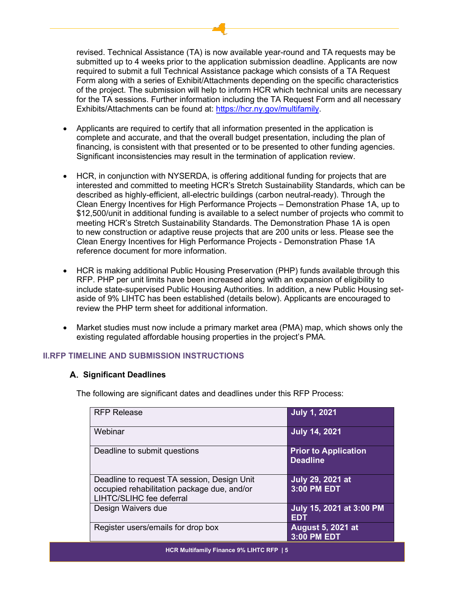revised. Technical Assistance (TA) is now available year-round and TA requests may be submitted up to 4 weeks prior to the application submission deadline. Applicants are now required to submit a full Technical Assistance package which consists of a TA Request Form along with a series of Exhibit/Attachments depending on the specific characteristics of the project. The submission will help to inform HCR which technical units are necessary for the TA sessions. Further information including the TA Request Form and all necessary Exhibits/Attachments can be found at: [https://hcr.ny.gov/multifamily.](https://hcr.ny.gov/multifamily)

- Applicants are required to certify that all information presented in the application is complete and accurate, and that the overall budget presentation, including the plan of financing, is consistent with that presented or to be presented to other funding agencies. Significant inconsistencies may result in the termination of application review.
- HCR, in conjunction with NYSERDA, is offering additional funding for projects that are interested and committed to meeting HCR's Stretch Sustainability Standards, which can be described as highly-efficient, all-electric buildings (carbon neutral-ready). Through the Clean Energy Incentives for High Performance Projects – Demonstration Phase 1A, up to \$12,500/unit in additional funding is available to a select number of projects who commit to meeting HCR's Stretch Sustainability Standards. The Demonstration Phase 1A is open to new construction or adaptive reuse projects that are 200 units or less. Please see the Clean Energy Incentives for High Performance Projects - Demonstration Phase 1A reference document for more information.
- HCR is making additional Public Housing Preservation (PHP) funds available through this RFP. PHP per unit limits have been increased along with an expansion of eligibility to include state-supervised Public Housing Authorities. In addition, a new Public Housing setaside of 9% LIHTC has been established (details below). Applicants are encouraged to review the PHP term sheet for additional information.
- Market studies must now include a primary market area (PMA) map, which shows only the existing regulated affordable housing properties in the project's PMA.

# <span id="page-4-1"></span><span id="page-4-0"></span>**II.RFP TIMELINE AND SUBMISSION INSTRUCTIONS**

# **Significant Deadlines**

The following are significant dates and deadlines under this RFP Process:

| <b>RFP Release</b>                                                                                                     | <b>July 1, 2021</b>                            |
|------------------------------------------------------------------------------------------------------------------------|------------------------------------------------|
| Webinar                                                                                                                | <b>July 14, 2021</b>                           |
| Deadline to submit questions                                                                                           | <b>Prior to Application</b><br><b>Deadline</b> |
| Deadline to request TA session, Design Unit<br>occupied rehabilitation package due, and/or<br>LIHTC/SLIHC fee deferral | July 29, 2021 at<br>3:00 PM EDT                |
| Design Waivers due                                                                                                     | July 15, 2021 at 3:00 PM<br><b>EDT</b>         |
| Register users/emails for drop box                                                                                     | <b>August 5, 2021 at</b><br>3:00 PM EDT        |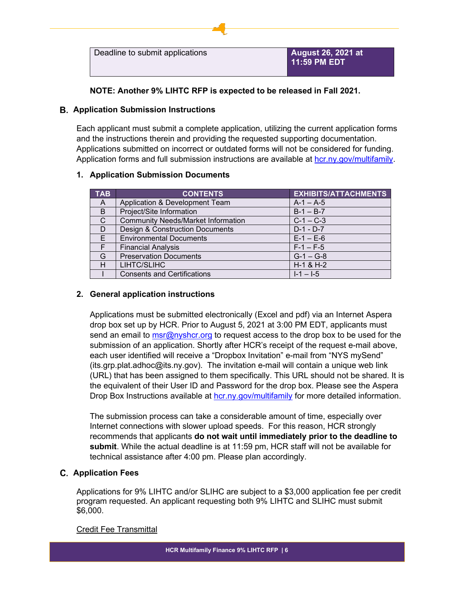

**NOTE: Another 9% LIHTC RFP is expected to be released in Fall 2021.**

# <span id="page-5-0"></span>**Application Submission Instructions**

Each applicant must submit a complete application, utilizing the current application forms and the instructions therein and providing the requested supporting documentation. Applications submitted on incorrect or outdated forms will not be considered for funding. Application forms and full submission instructions are available at [hcr.ny.gov/multifamily.](https://hcr.ny.gov/multifamily)

# **1. Application Submission Documents**

| <b>TAB</b> | <b>CONTENTS</b>                            | <b>EXHIBITS/ATTACHMENTS</b> |
|------------|--------------------------------------------|-----------------------------|
| A          | Application & Development Team             | $A-1 - A-5$                 |
| B.         | Project/Site Information                   | $B-1 - B-7$                 |
| C.         | <b>Community Needs/Market Information</b>  | $C-1 - C-3$                 |
| D          | <b>Design &amp; Construction Documents</b> | $D-1 - D-7$                 |
| F.         | <b>Environmental Documents</b>             | $E - 1 - E - 6$             |
| F.         | <b>Financial Analysis</b>                  | $F-1 - F-5$                 |
| G          | <b>Preservation Documents</b>              | $G-1 - G-8$                 |
| Н          | LIHTC/SLIHC                                | $H-1$ & $H-2$               |
|            | <b>Consents and Certifications</b>         | $1 - 1 - 1 - 5$             |

# **2. General application instructions**

Applications must be submitted electronically (Excel and pdf) via an Internet Aspera drop box set up by HCR. Prior to August 5, 2021 at 3:00 PM EDT, applicants must send an email to [msr@nyshcr.org](mailto:msr@nyshcr.org) to request access to the drop box to be used for the submission of an application. Shortly after HCR's receipt of the request e-mail above, each user identified will receive a "Dropbox Invitation" e-mail from "NYS mySend" (its.grp.plat.adhoc@its.ny.gov). The invitation e-mail will contain a unique web link (URL) that has been assigned to them specifically. This URL should not be shared. It is the equivalent of their User ID and Password for the drop box. Please see the Aspera Drop Box Instructions available at [hcr.ny.gov/multifamily](https://hcr.ny.gov/multifamily) for more detailed information.

The submission process can take a considerable amount of time, especially over Internet connections with slower upload speeds. For this reason, HCR strongly recommends that applicants **do not wait until immediately prior to the deadline to submit**. While the actual deadline is at 11:59 pm, HCR staff will not be available for technical assistance after 4:00 pm. Please plan accordingly.

# <span id="page-5-1"></span>**Application Fees**

Applications for 9% LIHTC and/or SLIHC are subject to a \$3,000 application fee per credit program requested. An applicant requesting both 9% LIHTC and SLIHC must submit \$6,000.

# Credit Fee Transmittal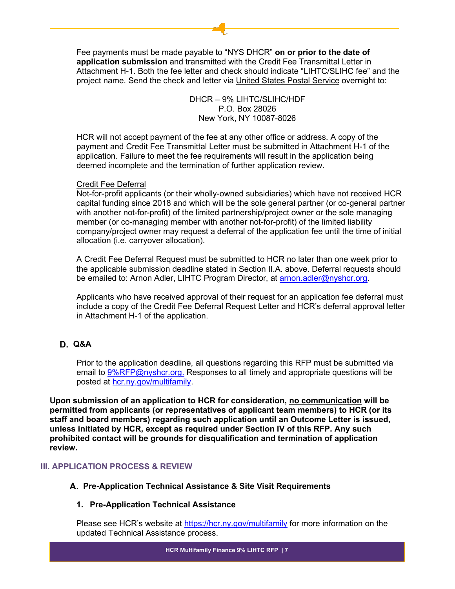Fee payments must be made payable to "NYS DHCR" **on or prior to the date of application submission** and transmitted with the Credit Fee Transmittal Letter in Attachment H-1. Both the fee letter and check should indicate "LIHTC/SLIHC fee" and the project name. Send the check and letter via United States Postal Service overnight to:

> DHCR – 9% LIHTC/SLIHC/HDF P.O. Box 28026 New York, NY 10087-8026

HCR will not accept payment of the fee at any other office or address. A copy of the payment and Credit Fee Transmittal Letter must be submitted in Attachment H-1 of the application. Failure to meet the fee requirements will result in the application being deemed incomplete and the termination of further application review.

# Credit Fee Deferral

Not-for-profit applicants (or their wholly-owned subsidiaries) which have not received HCR capital funding since 2018 and which will be the sole general partner (or co-general partner with another not-for-profit) of the limited partnership/project owner or the sole managing member (or co-managing member with another not-for-profit) of the limited liability company/project owner may request a deferral of the application fee until the time of initial allocation (i.e. carryover allocation).

A Credit Fee Deferral Request must be submitted to HCR no later than one week prior to the applicable submission deadline stated in Section II.A. above. Deferral requests should be emailed to: Arnon Adler, LIHTC Program Director, at [arnon.adler@nyshcr.org.](mailto:arnon.adler@nyshcr.org)

Applicants who have received approval of their request for an application fee deferral must include a copy of the Credit Fee Deferral Request Letter and HCR's deferral approval letter in Attachment H-1 of the application.

# <span id="page-6-0"></span>**Q&A**

Prior to the application deadline, all questions regarding this RFP must be submitted via email to [9%RFP@nyshcr.org.](mailto:9%25RFP@nyshcr.org) Responses to all timely and appropriate questions will be posted at [hcr.ny.gov/multifamily.](https://hcr.ny.gov/multifamily)

**Upon submission of an application to HCR for consideration, no communication will be permitted from applicants (or representatives of applicant team members) to HCR (or its staff and board members) regarding such application until an Outcome Letter is issued, unless initiated by HCR, except as required under Section IV of this RFP. Any such prohibited contact will be grounds for disqualification and termination of application review.**

# <span id="page-6-2"></span><span id="page-6-1"></span>**III. APPLICATION PROCESS & REVIEW**

#### **Pre-Application Technical Assistance & Site Visit Requirements**

#### **1. Pre-Application Technical Assistance**

Please see HCR's website at<https://hcr.ny.gov/multifamily> for more information on the updated Technical Assistance process.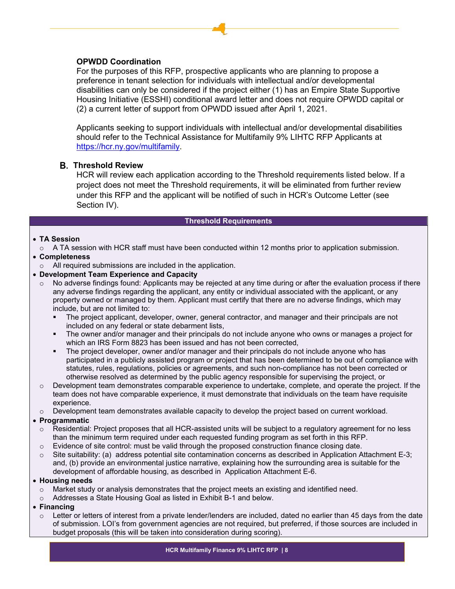# **OPWDD Coordination**

For the purposes of this RFP, prospective applicants who are planning to propose a preference in tenant selection for individuals with intellectual and/or developmental disabilities can only be considered if the project either (1) has an Empire State Supportive Housing Initiative (ESSHI) conditional award letter and does not require OPWDD capital or (2) a current letter of support from OPWDD issued after April 1, 2021.

Applicants seeking to support individuals with intellectual and/or developmental disabilities should refer to the Technical Assistance for Multifamily 9% LIHTC RFP Applicants at [https://hcr.ny.gov/multifamily.](https://hcr.ny.gov/multifamily)

#### <span id="page-7-0"></span>**Threshold Review**

HCR will review each application according to the Threshold requirements listed below. If a project does not meet the Threshold requirements, it will be eliminated from further review under this RFP and the applicant will be notified of such in HCR's Outcome Letter (see Section IV).

#### **Threshold Requirements**

#### • **TA Session**

 $\circ$  A TA session with HCR staff must have been conducted within 12 months prior to application submission.

# • **Completeness**

o All required submissions are included in the application.

#### • **Development Team Experience and Capacity**

- $\circ$  No adverse findings found: Applicants may be rejected at any time during or after the evaluation process if there any adverse findings regarding the applicant, any entity or individual associated with the applicant, or any property owned or managed by them. Applicant must certify that there are no adverse findings, which may include, but are not limited to:
	- The project applicant, developer, owner, general contractor, and manager and their principals are not included on any federal or state debarment lists,
	- The owner and/or manager and their principals do not include anyone who owns or manages a project for which an IRS Form 8823 has been issued and has not been corrected,
	- The project developer, owner and/or manager and their principals do not include anyone who has participated in a publicly assisted program or project that has been determined to be out of compliance with statutes, rules, regulations, policies or agreements, and such non-compliance has not been corrected or otherwise resolved as determined by the public agency responsible for supervising the project, or
- $\circ$  Development team demonstrates comparable experience to undertake, complete, and operate the project. If the team does not have comparable experience, it must demonstrate that individuals on the team have requisite experience.
- $\circ$  Development team demonstrates available capacity to develop the project based on current workload.

#### • **Programmatic**

- $\circ$  Residential: Project proposes that all HCR-assisted units will be subject to a regulatory agreement for no less than the minimum term required under each requested funding program as set forth in this RFP.
- o Evidence of site control: must be valid through the proposed construction finance closing date.
- $\circ$  Site suitability: (a) address potential site contamination concerns as described in Application Attachment E-3; and, (b) provide an environmental justice narrative, explaining how the surrounding area is suitable for the development of affordable housing, as described in Application Attachment E-6.

#### • **Housing needs**

- $\circ$  Market study or analysis demonstrates that the project meets an existing and identified need.
- o Addresses a State Housing Goal as listed in Exhibit B-1 and below.
- **Financing**
	- $\circ$  Letter or letters of interest from a private lender/lenders are included, dated no earlier than 45 days from the date of submission. LOI's from government agencies are not required, but preferred, if those sources are included in budget proposals (this will be taken into consideration during scoring).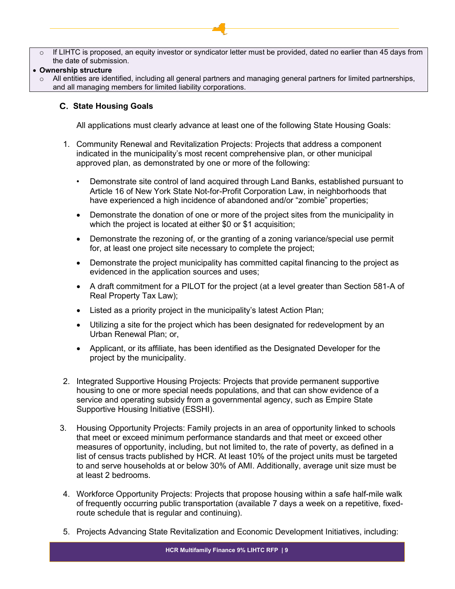- $\circ$  If LIHTC is proposed, an equity investor or syndicator letter must be provided, dated no earlier than 45 days from the date of submission.
- **Ownership structure**
- $\circ$  All entities are identified, including all general partners and managing general partners for limited partnerships, and all managing members for limited liability corporations.

# <span id="page-8-0"></span>**State Housing Goals**

All applications must clearly advance at least one of the following State Housing Goals:

- 1. Community Renewal and Revitalization Projects: Projects that address a component indicated in the municipality's most recent comprehensive plan, or other municipal approved plan, as demonstrated by one or more of the following:
	- Demonstrate site control of land acquired through Land Banks, established pursuant to Article 16 of New York State Not-for-Profit Corporation Law, in neighborhoods that have experienced a high incidence of abandoned and/or "zombie" properties;
	- Demonstrate the donation of one or more of the project sites from the municipality in which the project is located at either \$0 or \$1 acquisition;
	- Demonstrate the rezoning of, or the granting of a zoning variance/special use permit for, at least one project site necessary to complete the project;
	- Demonstrate the project municipality has committed capital financing to the project as evidenced in the application sources and uses;
	- A draft commitment for a PILOT for the project (at a level greater than Section 581-A of Real Property Tax Law);
	- Listed as a priority project in the municipality's latest Action Plan;
	- Utilizing a site for the project which has been designated for redevelopment by an Urban Renewal Plan; or,
	- Applicant, or its affiliate, has been identified as the Designated Developer for the project by the municipality.
- 2. Integrated Supportive Housing Projects: Projects that provide permanent supportive housing to one or more special needs populations, and that can show evidence of a service and operating subsidy from a governmental agency, such as Empire State Supportive Housing Initiative (ESSHI).
- 3. Housing Opportunity Projects: Family projects in an area of opportunity linked to schools that meet or exceed minimum performance standards and that meet or exceed other measures of opportunity, including, but not limited to, the rate of poverty, as defined in a list of census tracts published by HCR. At least 10% of the project units must be targeted to and serve households at or below 30% of AMI. Additionally, average unit size must be at least 2 bedrooms.
- 4. Workforce Opportunity Projects: Projects that propose housing within a safe half-mile walk of frequently occurring public transportation (available 7 days a week on a repetitive, fixedroute schedule that is regular and continuing).
- 5. Projects Advancing State Revitalization and Economic Development Initiatives, including: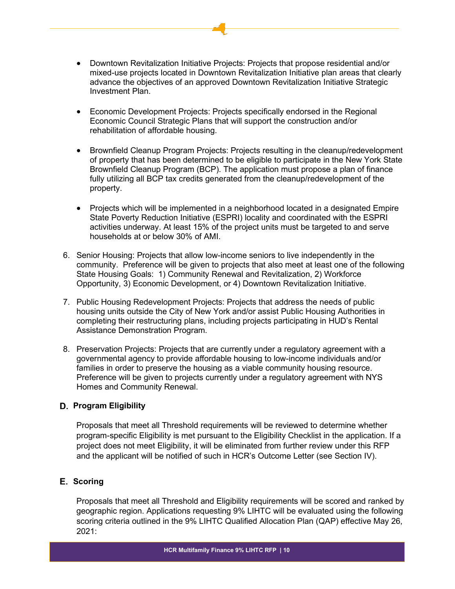- Downtown Revitalization Initiative Projects: Projects that propose residential and/or mixed-use projects located in Downtown Revitalization Initiative plan areas that clearly advance the objectives of an approved Downtown Revitalization Initiative Strategic Investment Plan.
- Economic Development Projects: Projects specifically endorsed in the Regional Economic Council Strategic Plans that will support the construction and/or rehabilitation of affordable housing.
- Brownfield Cleanup Program Projects: Projects resulting in the cleanup/redevelopment of property that has been determined to be eligible to participate in the New York State Brownfield Cleanup Program (BCP). The application must propose a plan of finance fully utilizing all BCP tax credits generated from the cleanup/redevelopment of the property.
- Projects which will be implemented in a neighborhood located in a designated Empire State Poverty Reduction Initiative (ESPRI) locality and coordinated with the ESPRI activities underway. At least 15% of the project units must be targeted to and serve households at or below 30% of AMI.
- 6. Senior Housing: Projects that allow low-income seniors to live independently in the community. Preference will be given to projects that also meet at least one of the following State Housing Goals: 1) Community Renewal and Revitalization, 2) Workforce Opportunity, 3) Economic Development, or 4) Downtown Revitalization Initiative.
- 7. Public Housing Redevelopment Projects: Projects that address the needs of public housing units outside the City of New York and/or assist Public Housing Authorities in completing their restructuring plans, including projects participating in HUD's Rental Assistance Demonstration Program.
- 8. Preservation Projects: Projects that are currently under a regulatory agreement with a governmental agency to provide affordable housing to low-income individuals and/or families in order to preserve the housing as a viable community housing resource. Preference will be given to projects currently under a regulatory agreement with NYS Homes and Community Renewal.

# <span id="page-9-0"></span>**Program Eligibility**

Proposals that meet all Threshold requirements will be reviewed to determine whether program-specific Eligibility is met pursuant to the Eligibility Checklist in the application. If a project does not meet Eligibility, it will be eliminated from further review under this RFP and the applicant will be notified of such in HCR's Outcome Letter (see Section IV).

# <span id="page-9-1"></span>**E.** Scoring

Proposals that meet all Threshold and Eligibility requirements will be scored and ranked by geographic region. Applications requesting 9% LIHTC will be evaluated using the following scoring criteria outlined in the 9% LIHTC Qualified Allocation Plan (QAP) effective May 26, 2021: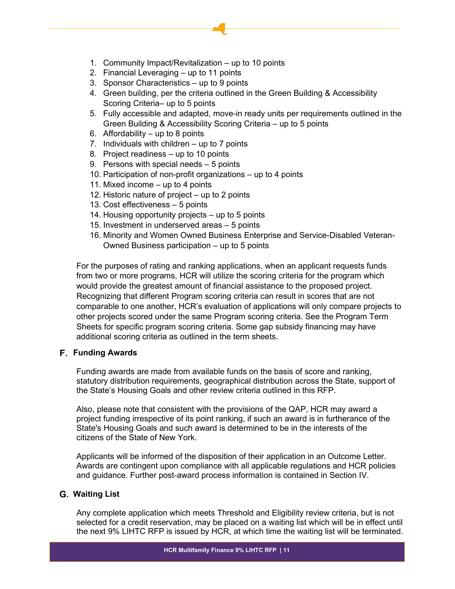- 1. Community Impact/Revitalization up to 10 points
- 2. Financial Leveraging up to 11 points
- 3. Sponsor Characteristics up to 9 points
- 4. Green building, per the criteria outlined in the Green Building & Accessibility Scoring Criteria– up to 5 points
- 5. Fully accessible and adapted, move-in ready units per requirements outlined in the Green Building & Accessibility Scoring Criteria – up to 5 points
- 6. Affordability  $-$  up to 8 points
- 7. Individuals with children up to 7 points
- 8. Project readiness up to 10 points
- 9. Persons with special needs 5 points
- 10. Participation of non-profit organizations up to 4 points
- 11. Mixed income up to 4 points
- 12. Historic nature of project up to 2 points
- 13. Cost effectiveness 5 points
- 14. Housing opportunity projects up to 5 points
- 15. Investment in underserved areas 5 points
- 16. Minority and Women Owned Business Enterprise and Service-Disabled Veteran-Owned Business participation – up to 5 points

For the purposes of rating and ranking applications, when an applicant requests funds from two or more programs, HCR will utilize the scoring criteria for the program which would provide the greatest amount of financial assistance to the proposed project. Recognizing that different Program scoring criteria can result in scores that are not comparable to one another, HCR's evaluation of applications will only compare projects to other projects scored under the same Program scoring criteria. See the Program Term Sheets for specific program scoring criteria. Some gap subsidy financing may have additional scoring criteria as outlined in the term sheets.

#### <span id="page-10-0"></span>**F.** Funding Awards

Funding awards are made from available funds on the basis of score and ranking, statutory distribution requirements, geographical distribution across the State, support of the State's Housing Goals and other review criteria outlined in this RFP.

Also, please note that consistent with the provisions of the QAP, HCR may award a project funding irrespective of its point ranking, if such an award is in furtherance of the State's Housing Goals and such award is determined to be in the interests of the citizens of the State of New York.

Applicants will be informed of the disposition of their application in an Outcome Letter. Awards are contingent upon compliance with all applicable regulations and HCR policies and guidance. Further post-award process information is contained in Section IV.

# <span id="page-10-1"></span>**Waiting List**

Any complete application which meets Threshold and Eligibility review criteria, but is not selected for a credit reservation, may be placed on a waiting list which will be in effect until the next 9% LIHTC RFP is issued by HCR, at which time the waiting list will be terminated.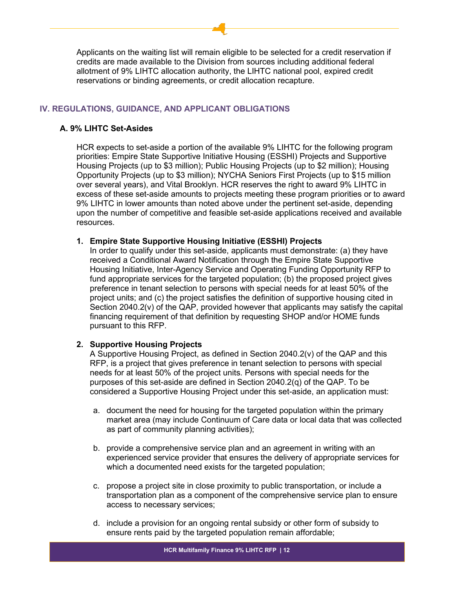Applicants on the waiting list will remain eligible to be selected for a credit reservation if credits are made available to the Division from sources including additional federal allotment of 9% LIHTC allocation authority, the LIHTC national pool, expired credit reservations or binding agreements, or credit allocation recapture.

# <span id="page-11-0"></span>**IV. REGULATIONS, GUIDANCE, AND APPLICANT OBLIGATIONS**

# <span id="page-11-1"></span>**A. 9% LIHTC Set-Asides**

HCR expects to set-aside a portion of the available 9% LIHTC for the following program priorities: Empire State Supportive Initiative Housing (ESSHI) Projects and Supportive Housing Projects (up to \$3 million); Public Housing Projects (up to \$2 million); Housing Opportunity Projects (up to \$3 million); NYCHA Seniors First Projects (up to \$15 million over several years), and Vital Brooklyn. HCR reserves the right to award 9% LIHTC in excess of these set-aside amounts to projects meeting these program priorities or to award 9% LIHTC in lower amounts than noted above under the pertinent set-aside, depending upon the number of competitive and feasible set-aside applications received and available resources.

# **1. Empire State Supportive Housing Initiative (ESSHI) Projects**

In order to qualify under this set-aside, applicants must demonstrate: (a) they have received a Conditional Award Notification through the Empire State Supportive Housing Initiative, Inter-Agency Service and Operating Funding Opportunity RFP to fund appropriate services for the targeted population; (b) the proposed project gives preference in tenant selection to persons with special needs for at least 50% of the project units; and (c) the project satisfies the definition of supportive housing cited in Section 2040.2(v) of the QAP, provided however that applicants may satisfy the capital financing requirement of that definition by requesting SHOP and/or HOME funds pursuant to this RFP.

# **2. Supportive Housing Projects**

A Supportive Housing Project, as defined in Section 2040.2(v) of the QAP and this RFP, is a project that gives preference in tenant selection to persons with special needs for at least 50% of the project units. Persons with special needs for the purposes of this set-aside are defined in Section 2040.2(q) of the QAP. To be considered a Supportive Housing Project under this set-aside, an application must:

- a. document the need for housing for the targeted population within the primary market area (may include Continuum of Care data or local data that was collected as part of community planning activities);
- b. provide a comprehensive service plan and an agreement in writing with an experienced service provider that ensures the delivery of appropriate services for which a documented need exists for the targeted population;
- c. propose a project site in close proximity to public transportation, or include a transportation plan as a component of the comprehensive service plan to ensure access to necessary services;
- d. include a provision for an ongoing rental subsidy or other form of subsidy to ensure rents paid by the targeted population remain affordable;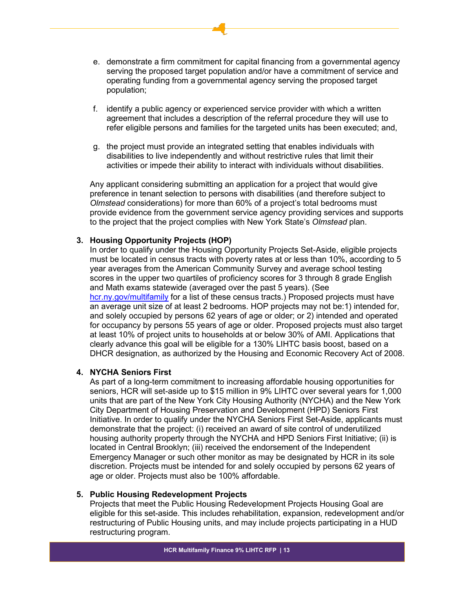- e. demonstrate a firm commitment for capital financing from a governmental agency serving the proposed target population and/or have a commitment of service and operating funding from a governmental agency serving the proposed target population;
- f. identify a public agency or experienced service provider with which a written agreement that includes a description of the referral procedure they will use to refer eligible persons and families for the targeted units has been executed; and,
- g. the project must provide an integrated setting that enables individuals with disabilities to live independently and without restrictive rules that limit their activities or impede their ability to interact with individuals without disabilities.

Any applicant considering submitting an application for a project that would give preference in tenant selection to persons with disabilities (and therefore subject to *Olmstead* considerations) for more than 60% of a project's total bedrooms must provide evidence from the government service agency providing services and supports to the project that the project complies with New York State's *Olmstead* plan.

# **3. Housing Opportunity Projects (HOP)**

In order to qualify under the Housing Opportunity Projects Set-Aside, eligible projects must be located in census tracts with poverty rates at or less than 10%, according to 5 year averages from the American Community Survey and average school testing scores in the upper two quartiles of proficiency scores for 3 through 8 grade English and Math exams statewide (averaged over the past 5 years). (See [hcr.ny.gov/multifamily](https://hcr.ny.gov/multifamily) for a list of these census tracts.) Proposed projects must have an average unit size of at least 2 bedrooms. HOP projects may not be:1) intended for, and solely occupied by persons 62 years of age or older; or 2) intended and operated for occupancy by persons 55 years of age or older. Proposed projects must also target at least 10% of project units to households at or below 30% of AMI. Applications that clearly advance this goal will be eligible for a 130% LIHTC basis boost, based on a DHCR designation, as authorized by the Housing and Economic Recovery Act of 2008.

#### **4. NYCHA Seniors First**

As part of a long-term commitment to increasing affordable housing opportunities for seniors, HCR will set-aside up to \$15 million in 9% LIHTC over several years for 1,000 units that are part of the New York City Housing Authority (NYCHA) and the New York City Department of Housing Preservation and Development (HPD) Seniors First Initiative. In order to qualify under the NYCHA Seniors First Set-Aside, applicants must demonstrate that the project: (i) received an award of site control of underutilized housing authority property through the NYCHA and HPD Seniors First Initiative; (ii) is located in Central Brooklyn; (iii) received the endorsement of the Independent Emergency Manager or such other monitor as may be designated by HCR in its sole discretion. Projects must be intended for and solely occupied by persons 62 years of age or older. Projects must also be 100% affordable.

#### **5. Public Housing Redevelopment Projects**

Projects that meet the Public Housing Redevelopment Projects Housing Goal are eligible for this set-aside. This includes rehabilitation, expansion, redevelopment and/or restructuring of Public Housing units, and may include projects participating in a HUD restructuring program.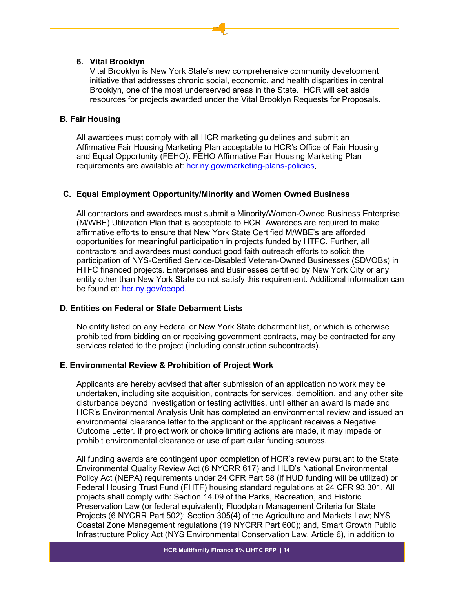# **6. Vital Brooklyn**

Vital Brooklyn is New York State's new comprehensive community development initiative that addresses chronic social, economic, and health disparities in central Brooklyn, one of the most underserved areas in the State. HCR will set aside resources for projects awarded under the Vital Brooklyn Requests for Proposals.

# <span id="page-13-0"></span>**B. Fair Housing**

All awardees must comply with all HCR marketing guidelines and submit an Affirmative Fair Housing Marketing Plan acceptable to HCR's Office of Fair Housing and Equal Opportunity (FEHO). FEHO Affirmative Fair Housing Marketing Plan requirements are available at: [hcr.ny.gov/marketing-plans-policies.](https://hcr.ny.gov/marketing-plans-policies)

# <span id="page-13-1"></span>**C. Equal Employment Opportunity/Minority and Women Owned Business**

All contractors and awardees must submit a Minority/Women-Owned Business Enterprise (M/WBE) Utilization Plan that is acceptable to HCR. Awardees are required to make affirmative efforts to ensure that New York State Certified M/WBE's are afforded opportunities for meaningful participation in projects funded by HTFC. Further, all contractors and awardees must conduct good faith outreach efforts to solicit the participation of NYS-Certified Service-Disabled Veteran-Owned Businesses (SDVOBs) in HTFC financed projects. Enterprises and Businesses certified by New York City or any entity other than New York State do not satisfy this requirement. Additional information can be found at: [hcr.ny.gov/oeopd.](https://hcr.ny.gov/oeopd)

# <span id="page-13-2"></span>**D**. **Entities on Federal or State Debarment Lists**

No entity listed on any Federal or New York State debarment list, or which is otherwise prohibited from bidding on or receiving government contracts, may be contracted for any services related to the project (including construction subcontracts).

# <span id="page-13-3"></span>**E. Environmental Review & Prohibition of Project Work**

Applicants are hereby advised that after submission of an application no work may be undertaken, including site acquisition, contracts for services, demolition, and any other site disturbance beyond investigation or testing activities, until either an award is made and HCR's Environmental Analysis Unit has completed an environmental review and issued an environmental clearance letter to the applicant or the applicant receives a Negative Outcome Letter. If project work or choice limiting actions are made, it may impede or prohibit environmental clearance or use of particular funding sources.

All funding awards are contingent upon completion of HCR's review pursuant to the State Environmental Quality Review Act (6 NYCRR 617) and HUD's National Environmental Policy Act (NEPA) requirements under 24 CFR Part 58 (if HUD funding will be utilized) or Federal Housing Trust Fund (FHTF) housing standard regulations at 24 CFR 93.301. All projects shall comply with: Section 14.09 of the Parks, Recreation, and Historic Preservation Law (or federal equivalent); Floodplain Management Criteria for State Projects (6 NYCRR Part 502); Section 305(4) of the Agriculture and Markets Law; NYS Coastal Zone Management regulations (19 NYCRR Part 600); and, Smart Growth Public Infrastructure Policy Act (NYS Environmental Conservation Law, Article 6), in addition to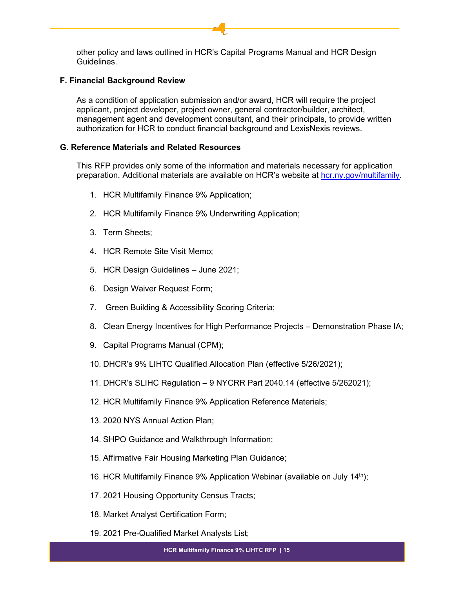other policy and laws outlined in HCR's Capital Programs Manual and HCR Design Guidelines.

#### <span id="page-14-0"></span>**F. Financial Background Review**

As a condition of application submission and/or award, HCR will require the project applicant, project developer, project owner, general contractor/builder, architect, management agent and development consultant, and their principals, to provide written authorization for HCR to conduct financial background and LexisNexis reviews.

# <span id="page-14-1"></span>**G. Reference Materials and Related Resources**

This RFP provides only some of the information and materials necessary for application preparation. Additional materials are available on HCR's website at [hcr.ny.gov/multifamily.](https://hcr.ny.gov/multifamily)

- 1. HCR Multifamily Finance 9% Application;
- 2. HCR Multifamily Finance 9% Underwriting Application;
- 3. Term Sheets;
- 4. HCR Remote Site Visit Memo;
- 5. HCR Design Guidelines June 2021;
- 6. Design Waiver Request Form;
- 7. Green Building & Accessibility Scoring Criteria;
- 8. Clean Energy Incentives for High Performance Projects Demonstration Phase IA;
- 9. Capital Programs Manual (CPM);
- 10. DHCR's 9% LIHTC Qualified Allocation Plan (effective 5/26/2021);
- 11. DHCR's SLIHC Regulation 9 NYCRR Part 2040.14 (effective 5/262021);
- 12. HCR Multifamily Finance 9% Application Reference Materials;
- 13. 2020 NYS Annual Action Plan;
- 14. SHPO Guidance and Walkthrough Information;
- 15. Affirmative Fair Housing Marketing Plan Guidance;
- 16. HCR Multifamily Finance 9% Application Webinar (available on July  $14<sup>th</sup>$ );
- 17. 2021 Housing Opportunity Census Tracts;
- 18. Market Analyst Certification Form;
- 19. 2021 Pre-Qualified Market Analysts List;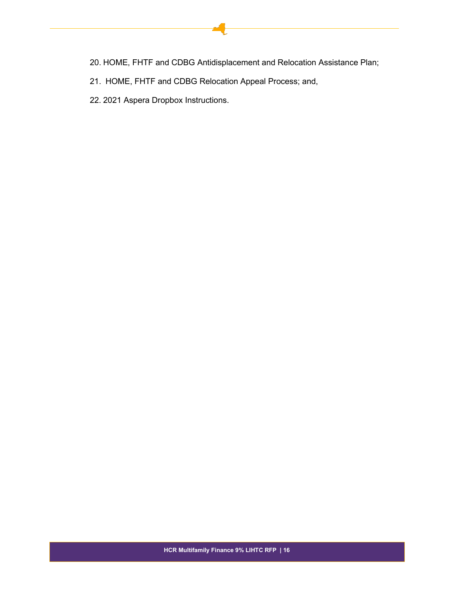- 20. HOME, FHTF and CDBG Antidisplacement and Relocation Assistance Plan;
- 21. HOME, FHTF and CDBG Relocation Appeal Process; and,
- 22. 2021 Aspera Dropbox Instructions.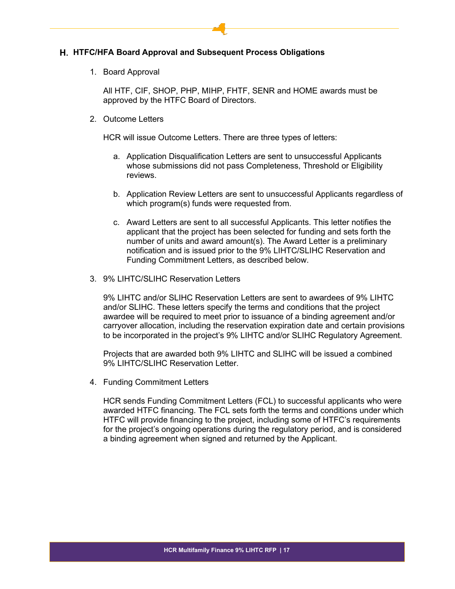# <span id="page-16-0"></span>**HTFC/HFA Board Approval and Subsequent Process Obligations**

1. Board Approval

All HTF, CIF, SHOP, PHP, MIHP, FHTF, SENR and HOME awards must be approved by the HTFC Board of Directors.

2. Outcome Letters

HCR will issue Outcome Letters. There are three types of letters:

- a. Application Disqualification Letters are sent to unsuccessful Applicants whose submissions did not pass Completeness, Threshold or Eligibility reviews.
- b. Application Review Letters are sent to unsuccessful Applicants regardless of which program(s) funds were requested from.
- c. Award Letters are sent to all successful Applicants. This letter notifies the applicant that the project has been selected for funding and sets forth the number of units and award amount(s). The Award Letter is a preliminary notification and is issued prior to the 9% LIHTC/SLIHC Reservation and Funding Commitment Letters, as described below.
- 3. 9% LIHTC/SLIHC Reservation Letters

9% LIHTC and/or SLIHC Reservation Letters are sent to awardees of 9% LIHTC and/or SLIHC. These letters specify the terms and conditions that the project awardee will be required to meet prior to issuance of a binding agreement and/or carryover allocation, including the reservation expiration date and certain provisions to be incorporated in the project's 9% LIHTC and/or SLIHC Regulatory Agreement.

Projects that are awarded both 9% LIHTC and SLIHC will be issued a combined 9% LIHTC/SLIHC Reservation Letter.

4. Funding Commitment Letters

HCR sends Funding Commitment Letters (FCL) to successful applicants who were awarded HTFC financing. The FCL sets forth the terms and conditions under which HTFC will provide financing to the project, including some of HTFC's requirements for the project's ongoing operations during the regulatory period, and is considered a binding agreement when signed and returned by the Applicant.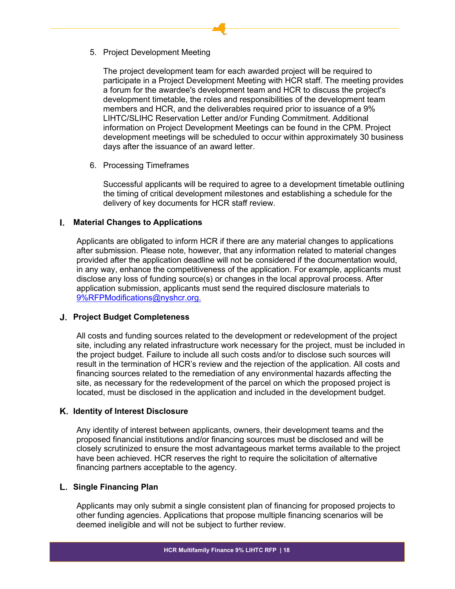5. Project Development Meeting

The project development team for each awarded project will be required to participate in a Project Development Meeting with HCR staff. The meeting provides a forum for the awardee's development team and HCR to discuss the project's development timetable, the roles and responsibilities of the development team members and HCR, and the deliverables required prior to issuance of a 9% LIHTC/SLIHC Reservation Letter and/or Funding Commitment. Additional information on Project Development Meetings can be found in the CPM. Project development meetings will be scheduled to occur within approximately 30 business days after the issuance of an award letter.

6. Processing Timeframes

Successful applicants will be required to agree to a development timetable outlining the timing of critical development milestones and establishing a schedule for the delivery of key documents for HCR staff review.

# <span id="page-17-0"></span>**Material Changes to Applications**

Applicants are obligated to inform HCR if there are any material changes to applications after submission. Please note, however, that any information related to material changes provided after the application deadline will not be considered if the documentation would, in any way, enhance the competitiveness of the application. For example, applicants must disclose any loss of funding source(s) or changes in the local approval process. After application submission, applicants must send the required disclosure materials to [9%RFPModifications@nyshcr.org.](mailto:9%25RFPModifications@nyshcr.org)

#### <span id="page-17-1"></span>**Project Budget Completeness**

All costs and funding sources related to the development or redevelopment of the project site, including any related infrastructure work necessary for the project, must be included in the project budget. Failure to include all such costs and/or to disclose such sources will result in the termination of HCR's review and the rejection of the application. All costs and financing sources related to the remediation of any environmental hazards affecting the site, as necessary for the redevelopment of the parcel on which the proposed project is located, must be disclosed in the application and included in the development budget.

#### <span id="page-17-2"></span>**Identity of Interest Disclosure**

Any identity of interest between applicants, owners, their development teams and the proposed financial institutions and/or financing sources must be disclosed and will be closely scrutinized to ensure the most advantageous market terms available to the project have been achieved. HCR reserves the right to require the solicitation of alternative financing partners acceptable to the agency.

#### <span id="page-17-3"></span>**Single Financing Plan**

Applicants may only submit a single consistent plan of financing for proposed projects to other funding agencies. Applications that propose multiple financing scenarios will be deemed ineligible and will not be subject to further review.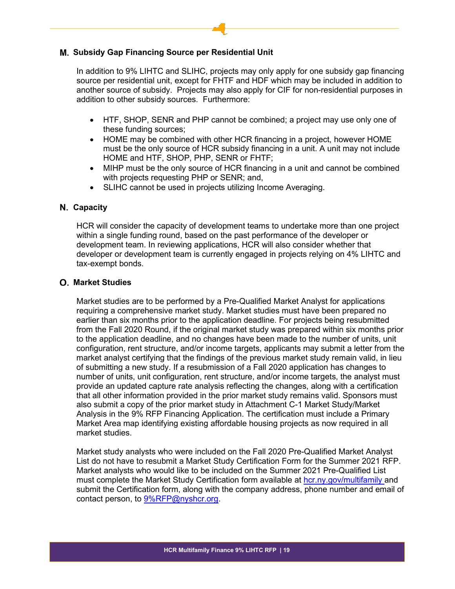# <span id="page-18-0"></span>**Subsidy Gap Financing Source per Residential Unit**

In addition to 9% LIHTC and SLIHC, projects may only apply for one subsidy gap financing source per residential unit, except for FHTF and HDF which may be included in addition to another source of subsidy. Projects may also apply for CIF for non-residential purposes in addition to other subsidy sources. Furthermore:

- HTF, SHOP, SENR and PHP cannot be combined; a project may use only one of these funding sources;
- HOME may be combined with other HCR financing in a project, however HOME must be the only source of HCR subsidy financing in a unit. A unit may not include HOME and HTF, SHOP, PHP, SENR or FHTF;
- MIHP must be the only source of HCR financing in a unit and cannot be combined with projects requesting PHP or SENR; and,
- SLIHC cannot be used in projects utilizing Income Averaging.

# <span id="page-18-1"></span>**Capacity**

HCR will consider the capacity of development teams to undertake more than one project within a single funding round, based on the past performance of the developer or development team. In reviewing applications, HCR will also consider whether that developer or development team is currently engaged in projects relying on 4% LIHTC and tax-exempt bonds.

#### <span id="page-18-2"></span>**Market Studies**

Market studies are to be performed by a Pre-Qualified Market Analyst for applications requiring a comprehensive market study. Market studies must have been prepared no earlier than six months prior to the application deadline. For projects being resubmitted from the Fall 2020 Round, if the original market study was prepared within six months prior to the application deadline, and no changes have been made to the number of units, unit configuration, rent structure, and/or income targets, applicants may submit a letter from the market analyst certifying that the findings of the previous market study remain valid, in lieu of submitting a new study. If a resubmission of a Fall 2020 application has changes to number of units, unit configuration, rent structure, and/or income targets, the analyst must provide an updated capture rate analysis reflecting the changes, along with a certification that all other information provided in the prior market study remains valid. Sponsors must also submit a copy of the prior market study in Attachment C-1 Market Study/Market Analysis in the 9% RFP Financing Application. The certification must include a Primary Market Area map identifying existing affordable housing projects as now required in all market studies.

Market study analysts who were included on the Fall 2020 Pre-Qualified Market Analyst List do not have to resubmit a Market Study Certification Form for the Summer 2021 RFP. Market analysts who would like to be included on the Summer 2021 Pre-Qualified List must complete the Market Study Certification form available at [hcr.ny.gov/multifamily](https://hcr.ny.gov/multifamily) and submit the Certification form, along with the company address, phone number and email of contact person, to **9%RFP@nyshcr.org**.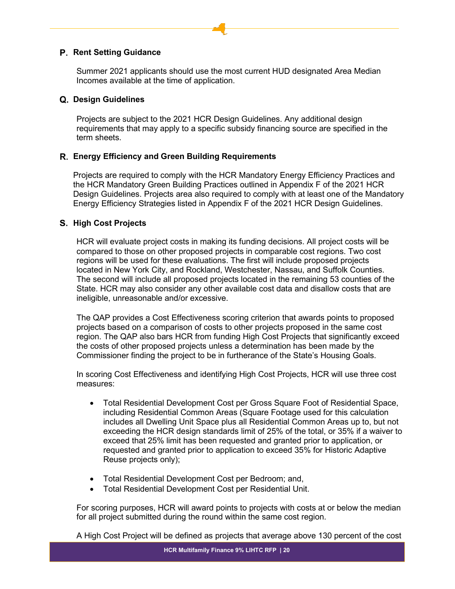# <span id="page-19-0"></span>**Rent Setting Guidance**

Summer 2021 applicants should use the most current HUD designated Area Median Incomes available at the time of application.

#### <span id="page-19-1"></span>**Design Guidelines**

Projects are subject to the 2021 HCR Design Guidelines. Any additional design requirements that may apply to a specific subsidy financing source are specified in the term sheets.

# <span id="page-19-2"></span>**Energy Efficiency and Green Building Requirements**

Projects are required to comply with the HCR Mandatory Energy Efficiency Practices and the HCR Mandatory Green Building Practices outlined in Appendix F of the 2021 HCR Design Guidelines. Projects area also required to comply with at least one of the Mandatory Energy Efficiency Strategies listed in Appendix F of the 2021 HCR Design Guidelines.

# <span id="page-19-3"></span>**High Cost Projects**

HCR will evaluate project costs in making its funding decisions. All project costs will be compared to those on other proposed projects in comparable cost regions. Two cost regions will be used for these evaluations. The first will include proposed projects located in New York City, and Rockland, Westchester, Nassau, and Suffolk Counties. The second will include all proposed projects located in the remaining 53 counties of the State. HCR may also consider any other available cost data and disallow costs that are ineligible, unreasonable and/or excessive.

The QAP provides a Cost Effectiveness scoring criterion that awards points to proposed projects based on a comparison of costs to other projects proposed in the same cost region. The QAP also bars HCR from funding High Cost Projects that significantly exceed the costs of other proposed projects unless a determination has been made by the Commissioner finding the project to be in furtherance of the State's Housing Goals.

In scoring Cost Effectiveness and identifying High Cost Projects, HCR will use three cost measures:

- Total Residential Development Cost per Gross Square Foot of Residential Space, including Residential Common Areas (Square Footage used for this calculation includes all Dwelling Unit Space plus all Residential Common Areas up to, but not exceeding the HCR design standards limit of 25% of the total, or 35% if a waiver to exceed that 25% limit has been requested and granted prior to application, or requested and granted prior to application to exceed 35% for Historic Adaptive Reuse projects only);
- Total Residential Development Cost per Bedroom; and,
- Total Residential Development Cost per Residential Unit.

For scoring purposes, HCR will award points to projects with costs at or below the median for all project submitted during the round within the same cost region.

A High Cost Project will be defined as projects that average above 130 percent of the cost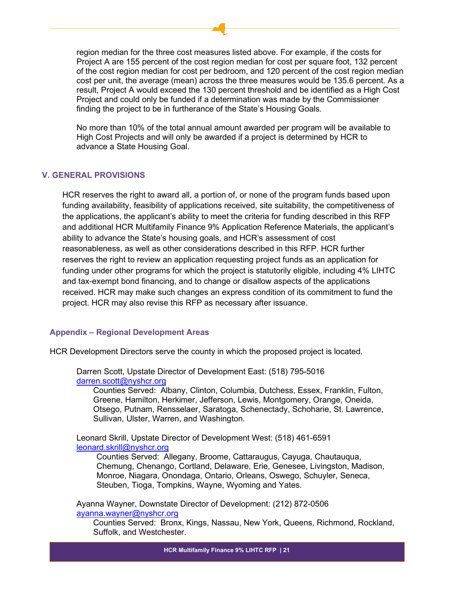region median for the three cost measures listed above. For example, if the costs for Project A are 155 percent of the cost region median for cost per square foot, 132 percent of the cost region median for cost per bedroom, and 120 percent of the cost region median cost per unit, the average (mean) across the three measures would be 135.6 percent. As a result, Project A would exceed the 130 percent threshold and be identified as a High Cost Project and could only be funded if a determination was made by the Commissioner finding the project to be in furtherance of the State's Housing Goals.

No more than 10% of the total annual amount awarded per program will be available to High Cost Projects and will only be awarded if a project is determined by HCR to advance a State Housing Goal.

# <span id="page-20-0"></span>**V. GENERAL PROVISIONS**

HCR reserves the right to award all, a portion of, or none of the program funds based upon funding availability, feasibility of applications received, site suitability, the competitiveness of the applications, the applicant's ability to meet the criteria for funding described in this RFP and additional HCR Multifamily Finance 9% Application Reference Materials, the applicant's ability to advance the State's housing goals, and HCR's assessment of cost reasonableness, as well as other considerations described in this RFP. HCR further reserves the right to review an application requesting project funds as an application for funding under other programs for which the project is statutorily eligible, including 4% LIHTC and tax-exempt bond financing, and to change or disallow aspects of the applications received. HCR may make such changes an express condition of its commitment to fund the project. HCR may also revise this RFP as necessary after issuance.

#### <span id="page-20-1"></span>**Appendix – Regional Development Areas**

HCR Development Directors serve the county in which the proposed project is located.

Darren Scott, Upstate Director of Development East: (518) 795-5016 [darren.scott@nyshcr.org](mailto:darren.scott@nyshcr.org)

Counties Served: Albany, Clinton, Columbia, Dutchess, Essex, Franklin, Fulton, Greene, Hamilton, Herkimer, Jefferson, Lewis, Montgomery, Orange, Oneida, Otsego, Putnam, Rensselaer, Saratoga, Schenectady, Schoharie, St. Lawrence, Sullivan, Ulster, Warren, and Washington.

Leonard Skrill, Upstate Director of Development West: (518) 461-6591 [leonard.skrill@nyshcr.org](mailto:leonard.skrill@nyshcr.org)

Counties Served: Allegany, Broome, Cattaraugus, Cayuga, Chautauqua, Chemung, Chenango, Cortland, Delaware, Erie, Genesee, Livingston, Madison, Monroe, Niagara, Onondaga, Ontario, Orleans, Oswego, Schuyler, Seneca, Steuben, Tioga, Tompkins, Wayne, Wyoming and Yates.

Ayanna Wayner, Downstate Director of Development: (212) 872-0506 [ayanna.wayner@nyshcr.org](mailto:ayanna.wayner@nyshcr.org)

Counties Served: Bronx, Kings, Nassau, New York, Queens, Richmond, Rockland, Suffolk, and Westchester.

**HCR Multifamily Finance 9% LIHTC RFP | 21**